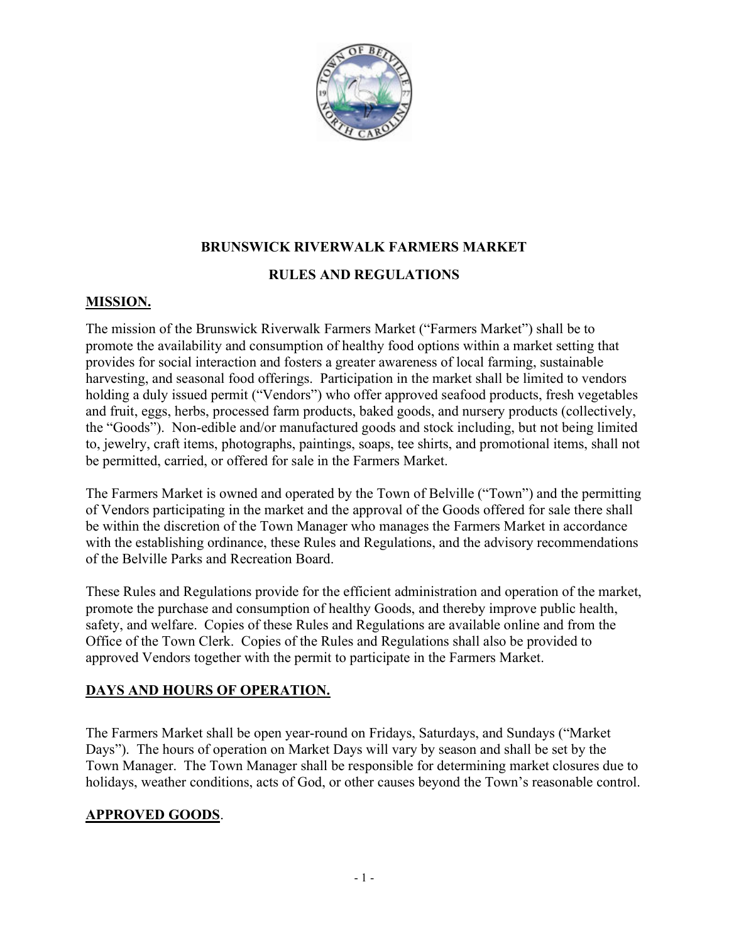

### BRUNSWICK RIVERWALK FARMERS MARKET

### RULES AND REGULATIONS

#### MISSION.

The mission of the Brunswick Riverwalk Farmers Market ("Farmers Market") shall be to promote the availability and consumption of healthy food options within a market setting that provides for social interaction and fosters a greater awareness of local farming, sustainable harvesting, and seasonal food offerings. Participation in the market shall be limited to vendors holding a duly issued permit ("Vendors") who offer approved seafood products, fresh vegetables and fruit, eggs, herbs, processed farm products, baked goods, and nursery products (collectively, the "Goods"). Non-edible and/or manufactured goods and stock including, but not being limited to, jewelry, craft items, photographs, paintings, soaps, tee shirts, and promotional items, shall not be permitted, carried, or offered for sale in the Farmers Market.

The Farmers Market is owned and operated by the Town of Belville ("Town") and the permitting of Vendors participating in the market and the approval of the Goods offered for sale there shall be within the discretion of the Town Manager who manages the Farmers Market in accordance with the establishing ordinance, these Rules and Regulations, and the advisory recommendations of the Belville Parks and Recreation Board.

These Rules and Regulations provide for the efficient administration and operation of the market, promote the purchase and consumption of healthy Goods, and thereby improve public health, safety, and welfare. Copies of these Rules and Regulations are available online and from the Office of the Town Clerk. Copies of the Rules and Regulations shall also be provided to approved Vendors together with the permit to participate in the Farmers Market.

# DAYS AND HOURS OF OPERATION.

The Farmers Market shall be open year-round on Fridays, Saturdays, and Sundays ("Market Days"). The hours of operation on Market Days will vary by season and shall be set by the Town Manager. The Town Manager shall be responsible for determining market closures due to holidays, weather conditions, acts of God, or other causes beyond the Town's reasonable control.

# APPROVED GOODS.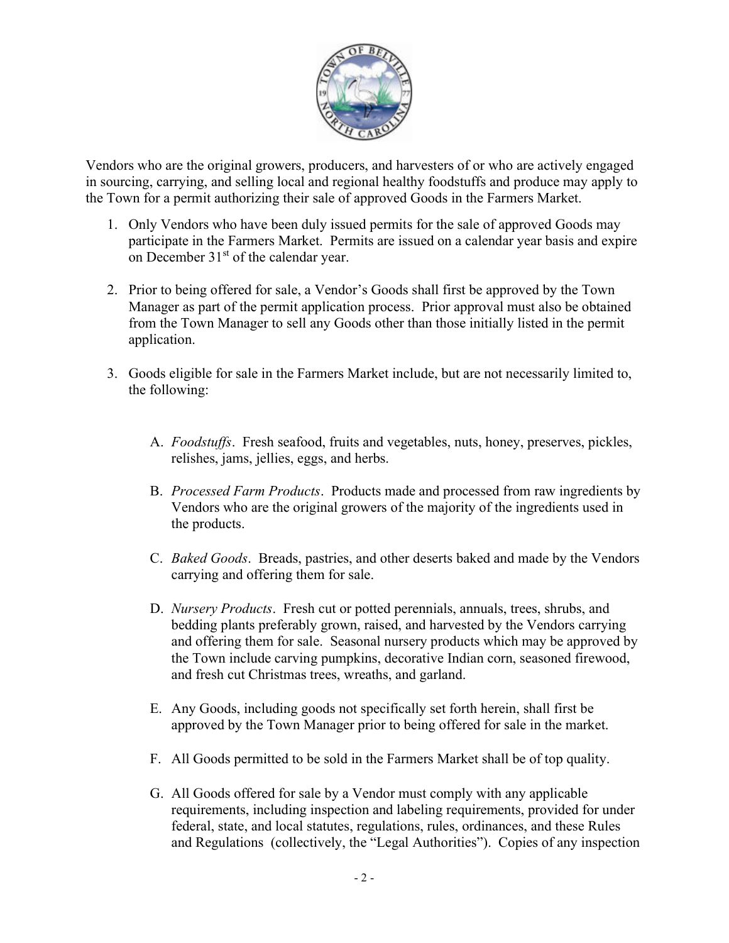

Vendors who are the original growers, producers, and harvesters of or who are actively engaged in sourcing, carrying, and selling local and regional healthy foodstuffs and produce may apply to the Town for a permit authorizing their sale of approved Goods in the Farmers Market.

- 1. Only Vendors who have been duly issued permits for the sale of approved Goods may participate in the Farmers Market. Permits are issued on a calendar year basis and expire on December  $31<sup>st</sup>$  of the calendar year.
- 2. Prior to being offered for sale, a Vendor's Goods shall first be approved by the Town Manager as part of the permit application process. Prior approval must also be obtained from the Town Manager to sell any Goods other than those initially listed in the permit application.
- 3. Goods eligible for sale in the Farmers Market include, but are not necessarily limited to, the following:
	- A. Foodstuffs. Fresh seafood, fruits and vegetables, nuts, honey, preserves, pickles, relishes, jams, jellies, eggs, and herbs.
	- B. Processed Farm Products. Products made and processed from raw ingredients by Vendors who are the original growers of the majority of the ingredients used in the products.
	- C. Baked Goods. Breads, pastries, and other deserts baked and made by the Vendors carrying and offering them for sale.
	- D. Nursery Products. Fresh cut or potted perennials, annuals, trees, shrubs, and bedding plants preferably grown, raised, and harvested by the Vendors carrying and offering them for sale. Seasonal nursery products which may be approved by the Town include carving pumpkins, decorative Indian corn, seasoned firewood, and fresh cut Christmas trees, wreaths, and garland.
	- E. Any Goods, including goods not specifically set forth herein, shall first be approved by the Town Manager prior to being offered for sale in the market.
	- F. All Goods permitted to be sold in the Farmers Market shall be of top quality.
	- G. All Goods offered for sale by a Vendor must comply with any applicable requirements, including inspection and labeling requirements, provided for under federal, state, and local statutes, regulations, rules, ordinances, and these Rules and Regulations (collectively, the "Legal Authorities"). Copies of any inspection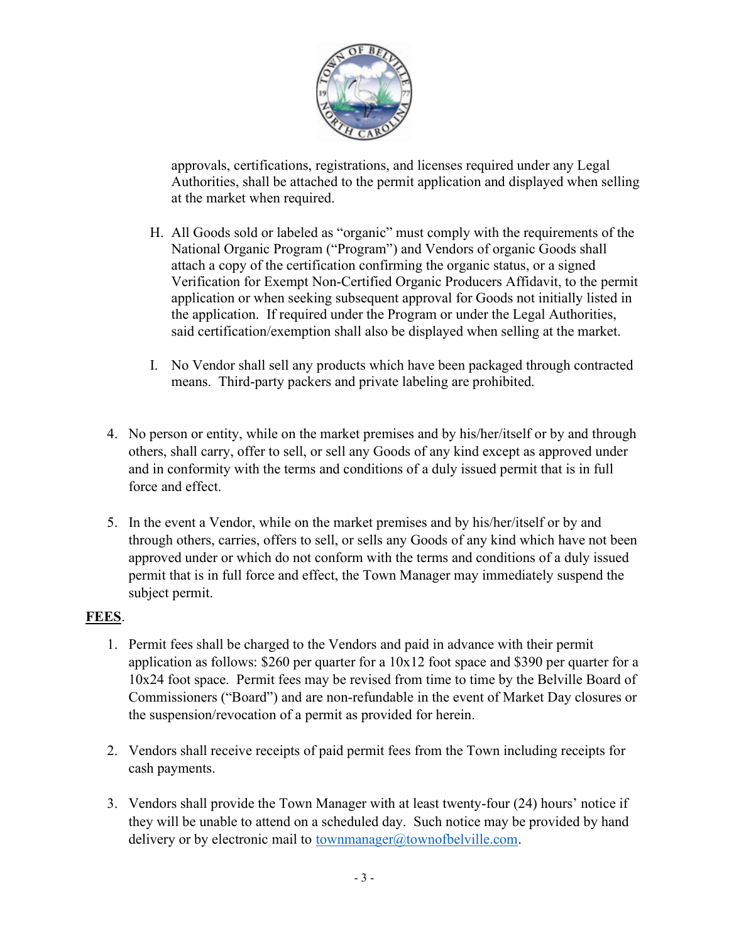

approvals, certifications, registrations, and licenses required under any Legal Authorities, shall be attached to the permit application and displayed when selling at the market when required.

- H. All Goods sold or labeled as "organic" must comply with the requirements of the National Organic Program ("Program") and Vendors of organic Goods shall attach a copy of the certification confirming the organic status, or a signed Verification for Exempt Non-Certified Organic Producers Affidavit, to the permit application or when seeking subsequent approval for Goods not initially listed in the application. If required under the Program or under the Legal Authorities, said certification/exemption shall also be displayed when selling at the market.
- I. No Vendor shall sell any products which have been packaged through contracted means. Third-party packers and private labeling are prohibited.
- 4. No person or entity, while on the market premises and by his/her/itself or by and through others, shall carry, offer to sell, or sell any Goods of any kind except as approved under and in conformity with the terms and conditions of a duly issued permit that is in full force and effect.
- 5. In the event a Vendor, while on the market premises and by his/her/itself or by and through others, carries, offers to sell, or sells any Goods of any kind which have not been approved under or which do not conform with the terms and conditions of a duly issued permit that is in full force and effect, the Town Manager may immediately suspend the subject permit.

# FEES.

- 1. Permit fees shall be charged to the Vendors and paid in advance with their permit application as follows: \$260 per quarter for a 10x12 foot space and \$390 per quarter for a 10x24 foot space. Permit fees may be revised from time to time by the Belville Board of Commissioners ("Board") and are non-refundable in the event of Market Day closures or the suspension/revocation of a permit as provided for herein.
- 2. Vendors shall receive receipts of paid permit fees from the Town including receipts for cash payments.
- 3. Vendors shall provide the Town Manager with at least twenty-four (24) hours' notice if they will be unable to attend on a scheduled day. Such notice may be provided by hand delivery or by electronic mail to townmanager@townofbelville.com.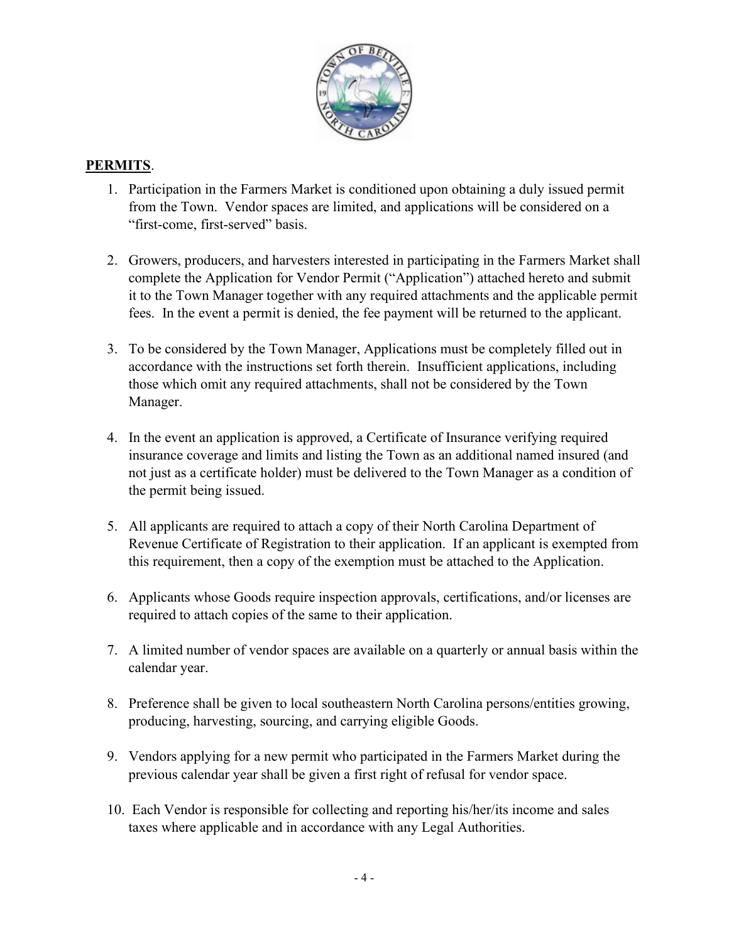

## PERMITS.

- 1. Participation in the Farmers Market is conditioned upon obtaining a duly issued permit from the Town. Vendor spaces are limited, and applications will be considered on a "first-come, first-served" basis.
- 2. Growers, producers, and harvesters interested in participating in the Farmers Market shall complete the Application for Vendor Permit ("Application") attached hereto and submit it to the Town Manager together with any required attachments and the applicable permit fees. In the event a permit is denied, the fee payment will be returned to the applicant.
- 3. To be considered by the Town Manager, Applications must be completely filled out in accordance with the instructions set forth therein. Insufficient applications, including those which omit any required attachments, shall not be considered by the Town Manager.
- 4. In the event an application is approved, a Certificate of Insurance verifying required insurance coverage and limits and listing the Town as an additional named insured (and not just as a certificate holder) must be delivered to the Town Manager as a condition of the permit being issued.
- 5. All applicants are required to attach a copy of their North Carolina Department of Revenue Certificate of Registration to their application. If an applicant is exempted from this requirement, then a copy of the exemption must be attached to the Application.
- 6. Applicants whose Goods require inspection approvals, certifications, and/or licenses are required to attach copies of the same to their application.
- 7. A limited number of vendor spaces are available on a quarterly or annual basis within the calendar year.
- 8. Preference shall be given to local southeastern North Carolina persons/entities growing, producing, harvesting, sourcing, and carrying eligible Goods.
- 9. Vendors applying for a new permit who participated in the Farmers Market during the previous calendar year shall be given a first right of refusal for vendor space.
- 10. Each Vendor is responsible for collecting and reporting his/her/its income and sales taxes where applicable and in accordance with any Legal Authorities.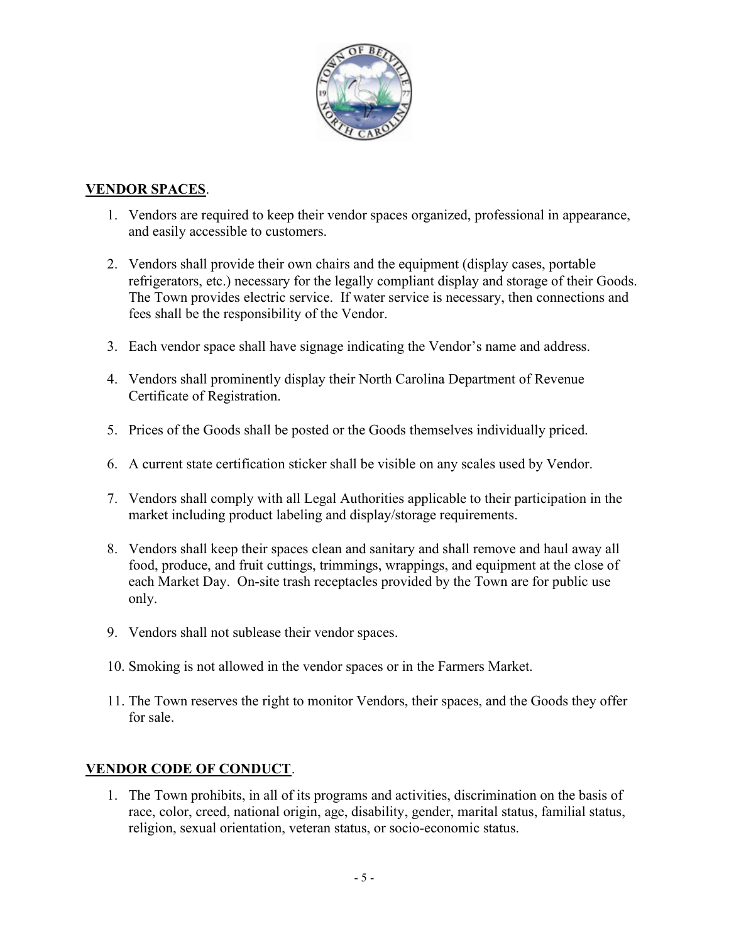

## VENDOR SPACES.

- 1. Vendors are required to keep their vendor spaces organized, professional in appearance, and easily accessible to customers.
- 2. Vendors shall provide their own chairs and the equipment (display cases, portable refrigerators, etc.) necessary for the legally compliant display and storage of their Goods. The Town provides electric service. If water service is necessary, then connections and fees shall be the responsibility of the Vendor.
- 3. Each vendor space shall have signage indicating the Vendor's name and address.
- 4. Vendors shall prominently display their North Carolina Department of Revenue Certificate of Registration.
- 5. Prices of the Goods shall be posted or the Goods themselves individually priced.
- 6. A current state certification sticker shall be visible on any scales used by Vendor.
- 7. Vendors shall comply with all Legal Authorities applicable to their participation in the market including product labeling and display/storage requirements.
- 8. Vendors shall keep their spaces clean and sanitary and shall remove and haul away all food, produce, and fruit cuttings, trimmings, wrappings, and equipment at the close of each Market Day. On-site trash receptacles provided by the Town are for public use only.
- 9. Vendors shall not sublease their vendor spaces.
- 10. Smoking is not allowed in the vendor spaces or in the Farmers Market.
- 11. The Town reserves the right to monitor Vendors, their spaces, and the Goods they offer for sale.

# VENDOR CODE OF CONDUCT.

1. The Town prohibits, in all of its programs and activities, discrimination on the basis of race, color, creed, national origin, age, disability, gender, marital status, familial status, religion, sexual orientation, veteran status, or socio-economic status.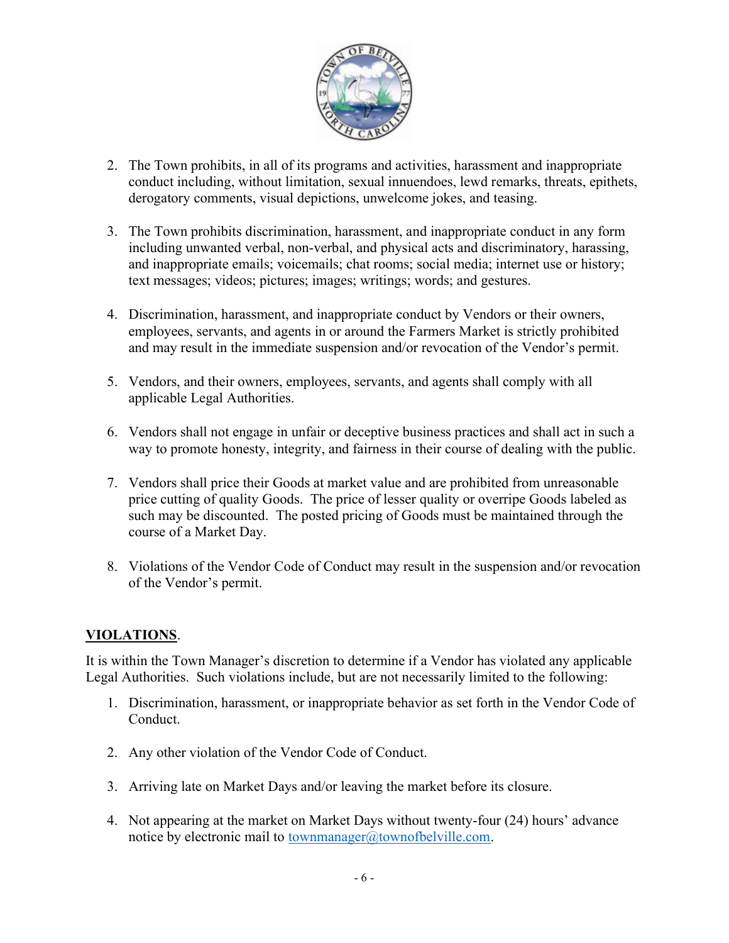

- 2. The Town prohibits, in all of its programs and activities, harassment and inappropriate conduct including, without limitation, sexual innuendoes, lewd remarks, threats, epithets, derogatory comments, visual depictions, unwelcome jokes, and teasing.
- 3. The Town prohibits discrimination, harassment, and inappropriate conduct in any form including unwanted verbal, non-verbal, and physical acts and discriminatory, harassing, and inappropriate emails; voicemails; chat rooms; social media; internet use or history; text messages; videos; pictures; images; writings; words; and gestures.
- 4. Discrimination, harassment, and inappropriate conduct by Vendors or their owners, employees, servants, and agents in or around the Farmers Market is strictly prohibited and may result in the immediate suspension and/or revocation of the Vendor's permit.
- 5. Vendors, and their owners, employees, servants, and agents shall comply with all applicable Legal Authorities.
- 6. Vendors shall not engage in unfair or deceptive business practices and shall act in such a way to promote honesty, integrity, and fairness in their course of dealing with the public.
- 7. Vendors shall price their Goods at market value and are prohibited from unreasonable price cutting of quality Goods. The price of lesser quality or overripe Goods labeled as such may be discounted. The posted pricing of Goods must be maintained through the course of a Market Day.
- 8. Violations of the Vendor Code of Conduct may result in the suspension and/or revocation of the Vendor's permit.

# VIOLATIONS.

It is within the Town Manager's discretion to determine if a Vendor has violated any applicable Legal Authorities. Such violations include, but are not necessarily limited to the following:

- 1. Discrimination, harassment, or inappropriate behavior as set forth in the Vendor Code of Conduct.
- 2. Any other violation of the Vendor Code of Conduct.
- 3. Arriving late on Market Days and/or leaving the market before its closure.
- 4. Not appearing at the market on Market Days without twenty-four (24) hours' advance notice by electronic mail to <u>townmanager@townofbelville.com</u>.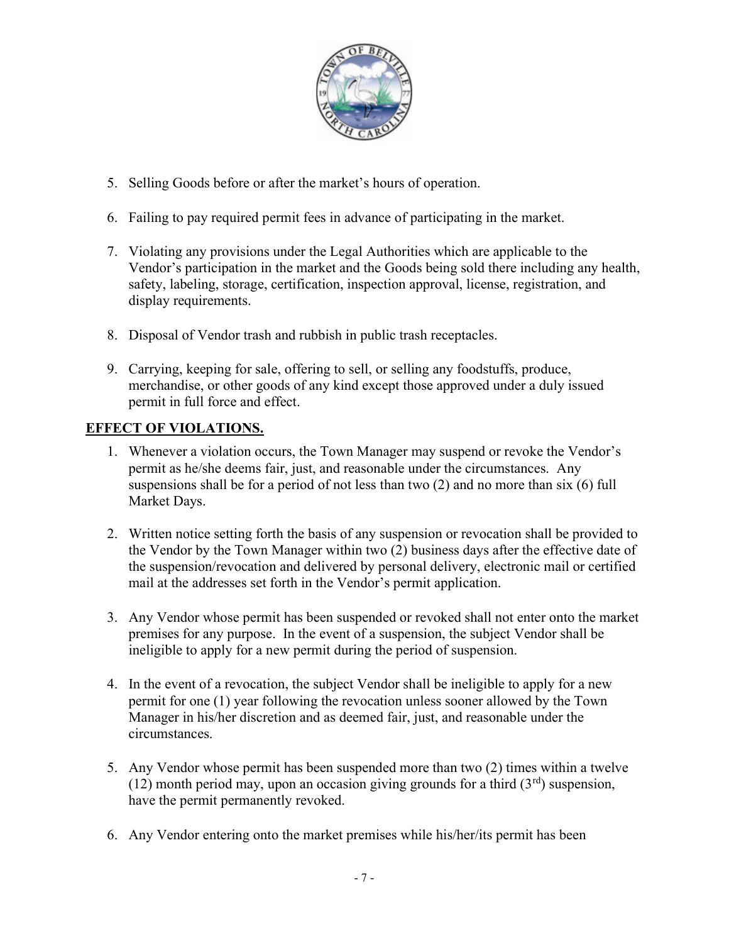

- 5. Selling Goods before or after the market's hours of operation.
- 6. Failing to pay required permit fees in advance of participating in the market.
- 7. Violating any provisions under the Legal Authorities which are applicable to the Vendor's participation in the market and the Goods being sold there including any health, safety, labeling, storage, certification, inspection approval, license, registration, and display requirements.
- 8. Disposal of Vendor trash and rubbish in public trash receptacles.
- 9. Carrying, keeping for sale, offering to sell, or selling any foodstuffs, produce, merchandise, or other goods of any kind except those approved under a duly issued permit in full force and effect.

# EFFECT OF VIOLATIONS.

- 1. Whenever a violation occurs, the Town Manager may suspend or revoke the Vendor's permit as he/she deems fair, just, and reasonable under the circumstances. Any suspensions shall be for a period of not less than two (2) and no more than six (6) full Market Days.
- 2. Written notice setting forth the basis of any suspension or revocation shall be provided to the Vendor by the Town Manager within two (2) business days after the effective date of the suspension/revocation and delivered by personal delivery, electronic mail or certified mail at the addresses set forth in the Vendor's permit application.
- 3. Any Vendor whose permit has been suspended or revoked shall not enter onto the market premises for any purpose. In the event of a suspension, the subject Vendor shall be ineligible to apply for a new permit during the period of suspension.
- 4. In the event of a revocation, the subject Vendor shall be ineligible to apply for a new permit for one (1) year following the revocation unless sooner allowed by the Town Manager in his/her discretion and as deemed fair, just, and reasonable under the circumstances.
- 5. Any Vendor whose permit has been suspended more than two (2) times within a twelve (12) month period may, upon an occasion giving grounds for a third  $(3<sup>rd</sup>)$  suspension, have the permit permanently revoked.
- 6. Any Vendor entering onto the market premises while his/her/its permit has been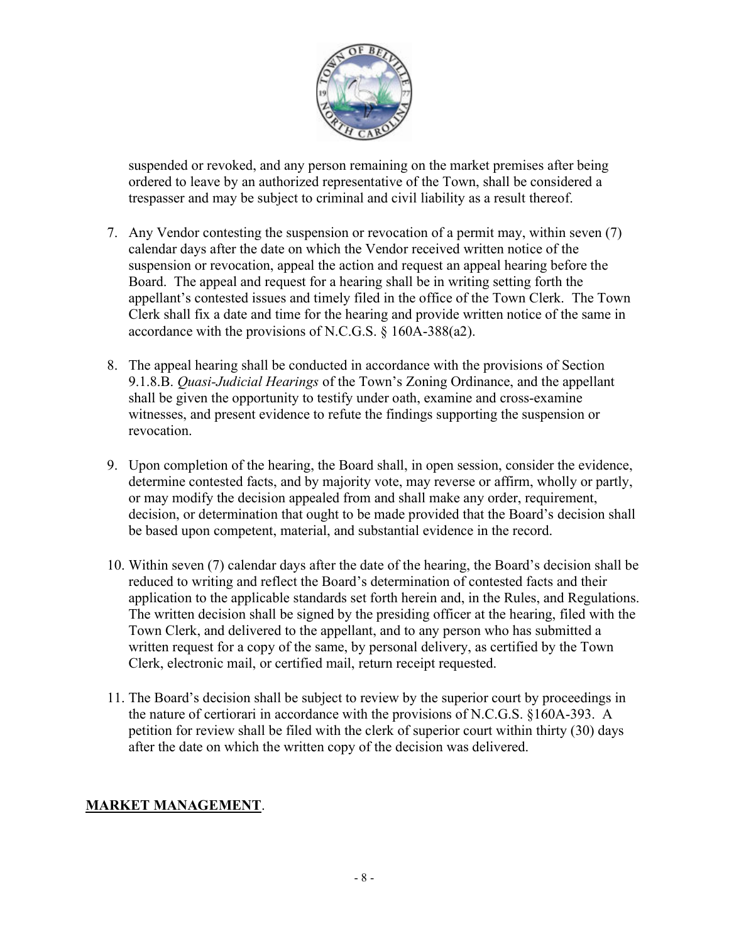

suspended or revoked, and any person remaining on the market premises after being ordered to leave by an authorized representative of the Town, shall be considered a trespasser and may be subject to criminal and civil liability as a result thereof.

- 7. Any Vendor contesting the suspension or revocation of a permit may, within seven (7) calendar days after the date on which the Vendor received written notice of the suspension or revocation, appeal the action and request an appeal hearing before the Board. The appeal and request for a hearing shall be in writing setting forth the appellant's contested issues and timely filed in the office of the Town Clerk. The Town Clerk shall fix a date and time for the hearing and provide written notice of the same in accordance with the provisions of N.C.G.S. § 160A-388(a2).
- 8. The appeal hearing shall be conducted in accordance with the provisions of Section 9.1.8.B. *Quasi-Judicial Hearings* of the Town's Zoning Ordinance, and the appellant shall be given the opportunity to testify under oath, examine and cross-examine witnesses, and present evidence to refute the findings supporting the suspension or revocation.
- 9. Upon completion of the hearing, the Board shall, in open session, consider the evidence, determine contested facts, and by majority vote, may reverse or affirm, wholly or partly, or may modify the decision appealed from and shall make any order, requirement, decision, or determination that ought to be made provided that the Board's decision shall be based upon competent, material, and substantial evidence in the record.
- 10. Within seven (7) calendar days after the date of the hearing, the Board's decision shall be reduced to writing and reflect the Board's determination of contested facts and their application to the applicable standards set forth herein and, in the Rules, and Regulations. The written decision shall be signed by the presiding officer at the hearing, filed with the Town Clerk, and delivered to the appellant, and to any person who has submitted a written request for a copy of the same, by personal delivery, as certified by the Town Clerk, electronic mail, or certified mail, return receipt requested.
- 11. The Board's decision shall be subject to review by the superior court by proceedings in the nature of certiorari in accordance with the provisions of N.C.G.S. §160A-393. A petition for review shall be filed with the clerk of superior court within thirty (30) days after the date on which the written copy of the decision was delivered.

# MARKET MANAGEMENT.